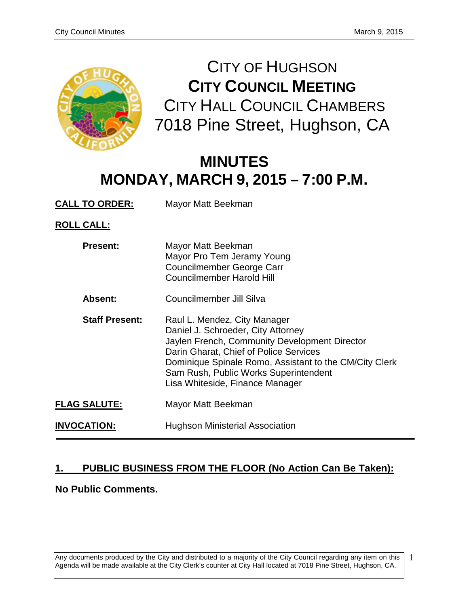

CITY OF HUGHSON **CITY COUNCIL MEETING** CITY HALL COUNCIL CHAMBERS 7018 Pine Street, Hughson, CA

# **MINUTES MONDAY, MARCH 9, 2015 – 7:00 P.M.**

**CALL TO ORDER:** Mayor Matt Beekman

**ROLL CALL:**

| <b>Present:</b>       | Mayor Matt Beekman<br>Mayor Pro Tem Jeramy Young<br><b>Councilmember George Carr</b><br><b>Councilmember Harold Hill</b>                                                                                                                                                                            |
|-----------------------|-----------------------------------------------------------------------------------------------------------------------------------------------------------------------------------------------------------------------------------------------------------------------------------------------------|
| Absent:               | Councilmember Jill Silva                                                                                                                                                                                                                                                                            |
| <b>Staff Present:</b> | Raul L. Mendez, City Manager<br>Daniel J. Schroeder, City Attorney<br>Jaylen French, Community Development Director<br>Darin Gharat, Chief of Police Services<br>Dominique Spinale Romo, Assistant to the CM/City Clerk<br>Sam Rush, Public Works Superintendent<br>Lisa Whiteside, Finance Manager |
| <b>FLAG SALUTE:</b>   | Mayor Matt Beekman                                                                                                                                                                                                                                                                                  |
| <b>INVOCATION:</b>    | <b>Hughson Ministerial Association</b>                                                                                                                                                                                                                                                              |

# **1. PUBLIC BUSINESS FROM THE FLOOR (No Action Can Be Taken):**

**No Public Comments.** 

Any documents produced by the City and distributed to a majority of the City Council regarding any item on this Agenda will be made available at the City Clerk's counter at City Hall located at 7018 Pine Street, Hughson, CA. 1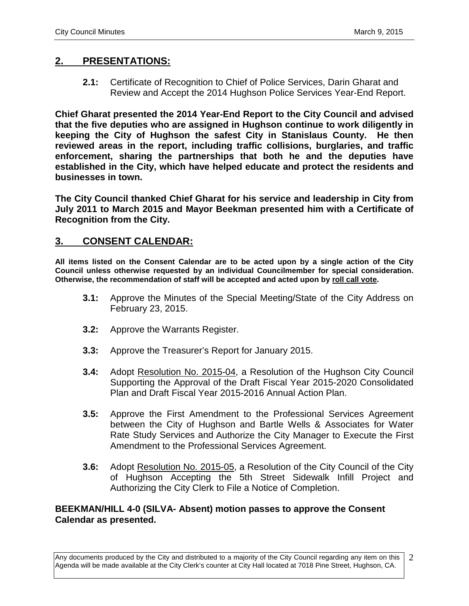# **2. PRESENTATIONS:**

**2.1:** Certificate of Recognition to Chief of Police Services, Darin Gharat and Review and Accept the 2014 Hughson Police Services Year-End Report.

**Chief Gharat presented the 2014 Year-End Report to the City Council and advised that the five deputies who are assigned in Hughson continue to work diligently in keeping the City of Hughson the safest City in Stanislaus County. He then reviewed areas in the report, including traffic collisions, burglaries, and traffic enforcement, sharing the partnerships that both he and the deputies have established in the City, which have helped educate and protect the residents and businesses in town.** 

**The City Council thanked Chief Gharat for his service and leadership in City from July 2011 to March 2015 and Mayor Beekman presented him with a Certificate of Recognition from the City.** 

### **3. CONSENT CALENDAR:**

**All items listed on the Consent Calendar are to be acted upon by a single action of the City Council unless otherwise requested by an individual Councilmember for special consideration. Otherwise, the recommendation of staff will be accepted and acted upon by roll call vote.**

- **3.1:** Approve the Minutes of the Special Meeting/State of the City Address on February 23, 2015.
- **3.2:** Approve the Warrants Register.
- **3.3:** Approve the Treasurer's Report for January 2015.
- **3.4:** Adopt Resolution No. 2015-04, a Resolution of the Hughson City Council Supporting the Approval of the Draft Fiscal Year 2015-2020 Consolidated Plan and Draft Fiscal Year 2015-2016 Annual Action Plan.
- **3.5:** Approve the First Amendment to the Professional Services Agreement between the City of Hughson and Bartle Wells & Associates for Water Rate Study Services and Authorize the City Manager to Execute the First Amendment to the Professional Services Agreement.
- **3.6:** Adopt Resolution No. 2015-05, a Resolution of the City Council of the City of Hughson Accepting the 5th Street Sidewalk Infill Project and Authorizing the City Clerk to File a Notice of Completion.

#### **BEEKMAN/HILL 4-0 (SILVA- Absent) motion passes to approve the Consent Calendar as presented.**

Any documents produced by the City and distributed to a majority of the City Council regarding any item on this Agenda will be made available at the City Clerk's counter at City Hall located at 7018 Pine Street, Hughson, CA. 2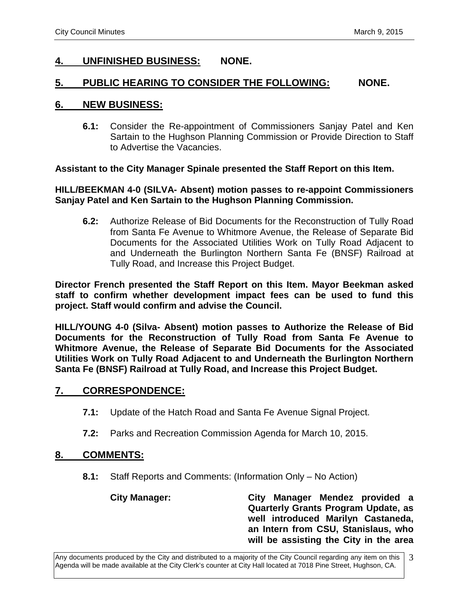# **4. UNFINISHED BUSINESS: NONE.**

#### **5. PUBLIC HEARING TO CONSIDER THE FOLLOWING: NONE.**

#### **6. NEW BUSINESS:**

**6.1:** Consider the Re-appointment of Commissioners Sanjay Patel and Ken Sartain to the Hughson Planning Commission or Provide Direction to Staff to Advertise the Vacancies.

#### **Assistant to the City Manager Spinale presented the Staff Report on this Item.**

#### **HILL/BEEKMAN 4-0 (SILVA- Absent) motion passes to re-appoint Commissioners Sanjay Patel and Ken Sartain to the Hughson Planning Commission.**

**6.2:** Authorize Release of Bid Documents for the Reconstruction of Tully Road from Santa Fe Avenue to Whitmore Avenue, the Release of Separate Bid Documents for the Associated Utilities Work on Tully Road Adjacent to and Underneath the Burlington Northern Santa Fe (BNSF) Railroad at Tully Road, and Increase this Project Budget.

**Director French presented the Staff Report on this Item. Mayor Beekman asked staff to confirm whether development impact fees can be used to fund this project. Staff would confirm and advise the Council.** 

**HILL/YOUNG 4-0 (Silva- Absent) motion passes to Authorize the Release of Bid Documents for the Reconstruction of Tully Road from Santa Fe Avenue to Whitmore Avenue, the Release of Separate Bid Documents for the Associated Utilities Work on Tully Road Adjacent to and Underneath the Burlington Northern Santa Fe (BNSF) Railroad at Tully Road, and Increase this Project Budget.**

#### **7. CORRESPONDENCE:**

- **7.1:** Update of the Hatch Road and Santa Fe Avenue Signal Project.
- **7.2:** Parks and Recreation Commission Agenda for March 10, 2015.

#### **8. COMMENTS:**

**8.1:** Staff Reports and Comments: (Information Only – No Action)

**City Manager: City Manager Mendez provided a Quarterly Grants Program Update, as well introduced Marilyn Castaneda, an Intern from CSU, Stanislaus, who will be assisting the City in the area**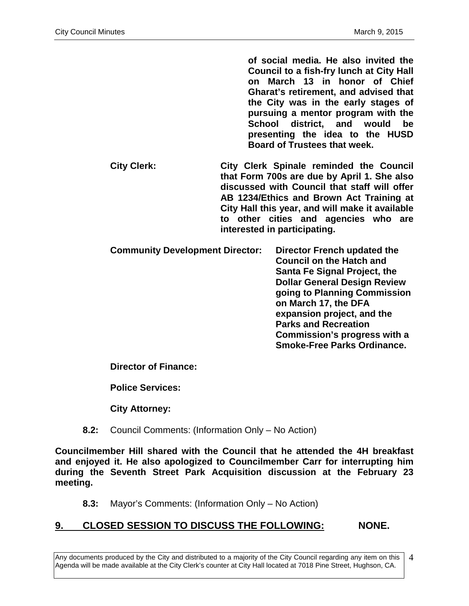**of social media. He also invited the Council to a fish-fry lunch at City Hall on March 13 in honor of Chief Gharat's retirement, and advised that the City was in the early stages of pursuing a mentor program with the School district, and would be presenting the idea to the HUSD Board of Trustees that week.** 

- **City Clerk: City Clerk Spinale reminded the Council that Form 700s are due by April 1. She also discussed with Council that staff will offer AB 1234/Ethics and Brown Act Training at City Hall this year, and will make it available to other cities and agencies who are interested in participating.**
- **Community Development Director: Director French updated the Council on the Hatch and Santa Fe Signal Project, the Dollar General Design Review going to Planning Commission on March 17, the DFA expansion project, and the Parks and Recreation Commission's progress with a Smoke-Free Parks Ordinance.**

**Director of Finance:**

**Police Services:**

**City Attorney:**

**8.2:** Council Comments: (Information Only – No Action)

**Councilmember Hill shared with the Council that he attended the 4H breakfast and enjoyed it. He also apologized to Councilmember Carr for interrupting him during the Seventh Street Park Acquisition discussion at the February 23 meeting.** 

**8.3:** Mayor's Comments: (Information Only – No Action)

# **9. CLOSED SESSION TO DISCUSS THE FOLLOWING: NONE.**

Any documents produced by the City and distributed to a majority of the City Council regarding any item on this Agenda will be made available at the City Clerk's counter at City Hall located at 7018 Pine Street, Hughson, CA.

4